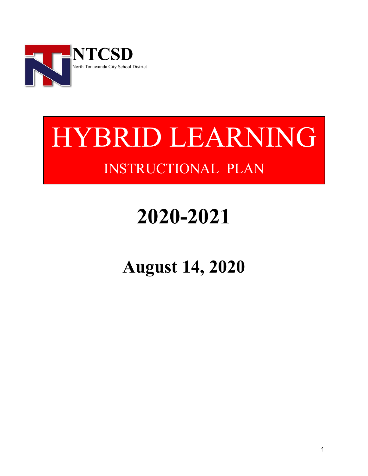

# HYBRID LEARNING INSTRUCTIONAL PLAN

# **2020-2021**

## **August 14, 2020**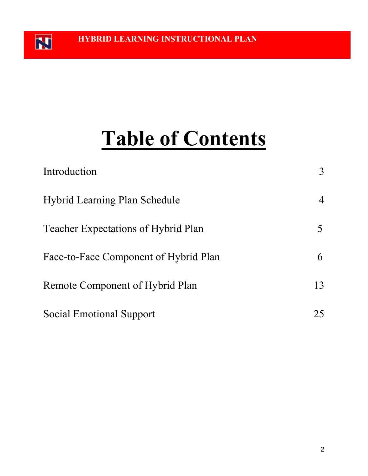N

# **Table of Contents**

| Introduction                               | 3  |
|--------------------------------------------|----|
| <b>Hybrid Learning Plan Schedule</b>       | 4  |
| <b>Teacher Expectations of Hybrid Plan</b> |    |
| Face-to-Face Component of Hybrid Plan      | 6  |
| Remote Component of Hybrid Plan            | 13 |
| Social Emotional Support                   | 25 |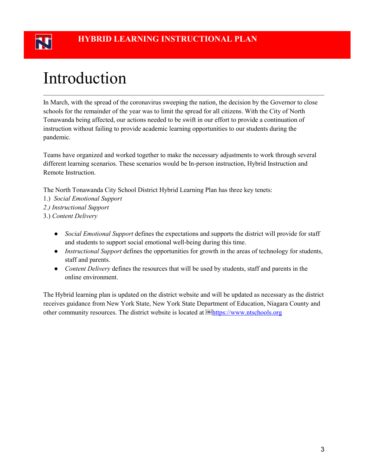## Introduction

In March, with the spread of the coronavirus sweeping the nation, the decision by the Governor to close schools for the remainder of the year was to limit the spread for all citizens. With the City of North Tonawanda being affected, our actions needed to be swift in our effort to provide a continuation of instruction without failing to provide academic learning opportunities to our students during the pandemic.

Teams have organized and worked together to make the necessary adjustments to work through several different learning scenarios. These scenarios would be In-person instruction, Hybrid Instruction and Remote Instruction.

The North Tonawanda City School District Hybrid Learning Plan has three key tenets:

- 1.) *Social Emotional Support*
- *2.) Instructional Support*
- 3.) *Content Delivery*
	- *Social Emotional Support* defines the expectations and supports the district will provide for staff and students to support social emotional well-being during this time.
	- *Instructional Support* defines the opportunities for growth in the areas of technology for students, staff and parents.
	- *Content Delivery* defines the resources that will be used by students, staff and parents in the online environment.

The Hybrid learning plan is updated on the district website and will be updated as necessary as the district receives guidance from New York State, New York State Department of Education, Niagara County and other community resources. The district website is located at **[https://www.ntschools.org](https://www.ntschools.org/)**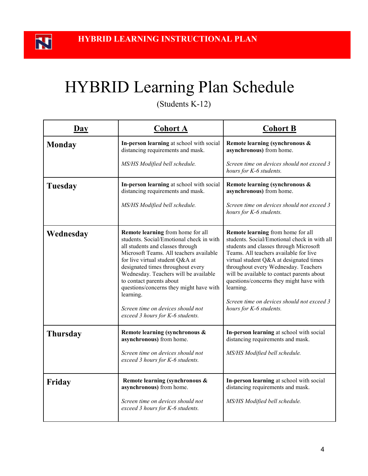## HYBRID Learning Plan Schedule

(Students K-12)

| $\overline{Day}$ | <b>Cohort A</b>                                                                                                                                                                                                                                                                                                                                                                                                                            | <b>Cohort B</b>                                                                                                                                                                                                                                                                                                                                                                                                                         |
|------------------|--------------------------------------------------------------------------------------------------------------------------------------------------------------------------------------------------------------------------------------------------------------------------------------------------------------------------------------------------------------------------------------------------------------------------------------------|-----------------------------------------------------------------------------------------------------------------------------------------------------------------------------------------------------------------------------------------------------------------------------------------------------------------------------------------------------------------------------------------------------------------------------------------|
| <b>Monday</b>    | In-person learning at school with social<br>distancing requirements and mask.                                                                                                                                                                                                                                                                                                                                                              | Remote learning (synchronous &<br>asynchronous) from home.                                                                                                                                                                                                                                                                                                                                                                              |
|                  | MS/HS Modified bell schedule.                                                                                                                                                                                                                                                                                                                                                                                                              | Screen time on devices should not exceed 3<br>hours for K-6 students.                                                                                                                                                                                                                                                                                                                                                                   |
| Tuesday          | In-person learning at school with social<br>distancing requirements and mask.<br>MS/HS Modified bell schedule.                                                                                                                                                                                                                                                                                                                             | Remote learning (synchronous &<br>asynchronous) from home.<br>Screen time on devices should not exceed 3<br>hours for K-6 students.                                                                                                                                                                                                                                                                                                     |
| Wednesday        | Remote learning from home for all<br>students. Social/Emotional check in with<br>all students and classes through<br>Microsoft Teams. All teachers available<br>for live virtual student Q&A at<br>designated times throughout every<br>Wednesday. Teachers will be available<br>to contact parents about<br>questions/concerns they might have with<br>learning.<br>Screen time on devices should not<br>exceed 3 hours for K-6 students. | Remote learning from home for all<br>students. Social/Emotional check in with all<br>students and classes through Microsoft<br>Teams. All teachers available for live<br>virtual student Q&A at designated times<br>throughout every Wednesday. Teachers<br>will be available to contact parents about<br>questions/concerns they might have with<br>learning.<br>Screen time on devices should not exceed 3<br>hours for K-6 students. |
| <b>Thursday</b>  | Remote learning (synchronous &<br>asynchronous) from home.<br>Screen time on devices should not<br>exceed 3 hours for K-6 students.                                                                                                                                                                                                                                                                                                        | In-person learning at school with social<br>distancing requirements and mask.<br>MS/HS Modified bell schedule.                                                                                                                                                                                                                                                                                                                          |
| Friday           | Remote learning (synchronous &<br>asynchronous) from home.<br>Screen time on devices should not<br>exceed 3 hours for K-6 students.                                                                                                                                                                                                                                                                                                        | In-person learning at school with social<br>distancing requirements and mask.<br>MS/HS Modified bell schedule.                                                                                                                                                                                                                                                                                                                          |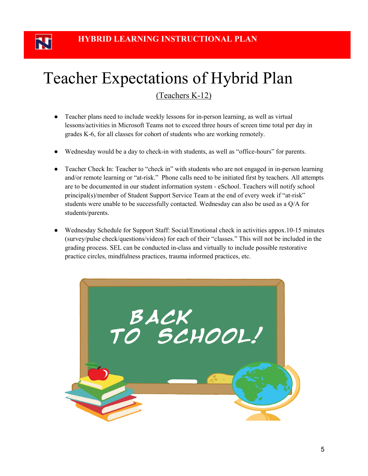N

## Teacher Expectations of Hybrid Plan

(Teachers K-12)

- Teacher plans need to include weekly lessons for in-person learning, as well as virtual lessons/activities in Microsoft Teams not to exceed three hours of screen time total per day in grades K-6, for all classes for cohort of students who are working remotely.
- Wednesday would be a day to check-in with students, as well as "office-hours" for parents.
- Teacher Check In: Teacher to "check in" with students who are not engaged in in-person learning and/or remote learning or "at-risk." Phone calls need to be initiated first by teachers. All attempts are to be documented in our student information system - eSchool. Teachers will notify school principal(s)/member of Student Support Service Team at the end of every week if "at-risk" students were unable to be successfully contacted. Wednesday can also be used as a Q/A for students/parents.
- Wednesday Schedule for Support Staff: Social/Emotional check in activities appox.10-15 minutes (survey/pulse check/questions/videos) for each of their "classes." This will not be included in the grading process. SEL can be conducted in-class and virtually to include possible restorative practice circles, mindfulness practices, trauma informed practices, etc.

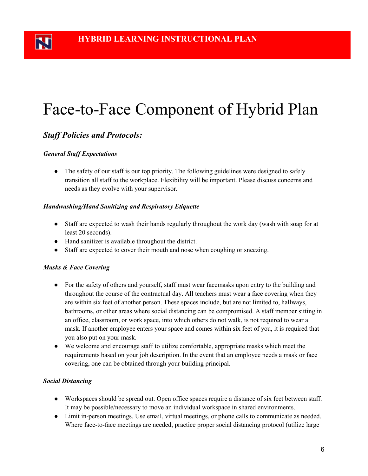## Face-to-Face Component of Hybrid Plan

### *Staff Policies and Protocols:*

### *General Staff Expectations*

• The safety of our staff is our top priority. The following guidelines were designed to safely transition all staff to the workplace. Flexibility will be important. Please discuss concerns and needs as they evolve with your supervisor.

### *Handwashing/Hand Sanitizing and Respiratory Etiquette*

- Staff are expected to wash their hands regularly throughout the work day (wash with soap for at least 20 seconds).
- Hand sanitizer is available throughout the district.
- Staff are expected to cover their mouth and nose when coughing or sneezing.

### *Masks & Face Covering*

- For the safety of others and yourself, staff must wear facemasks upon entry to the building and throughout the course of the contractual day. All teachers must wear a face covering when they are within six feet of another person. These spaces include, but are not limited to, hallways, bathrooms, or other areas where social distancing can be compromised. A staff member sitting in an office, classroom, or work space, into which others do not walk, is not required to wear a mask. If another employee enters your space and comes within six feet of you, it is required that you also put on your mask.
- We welcome and encourage staff to utilize comfortable, appropriate masks which meet the requirements based on your job description. In the event that an employee needs a mask or face covering, one can be obtained through your building principal.

### *Social Distancing*

- Workspaces should be spread out. Open office spaces require a distance of six feet between staff. It may be possible/necessary to move an individual workspace in shared environments.
- Limit in-person meetings. Use email, virtual meetings, or phone calls to communicate as needed. Where face-to-face meetings are needed, practice proper social distancing protocol (utilize large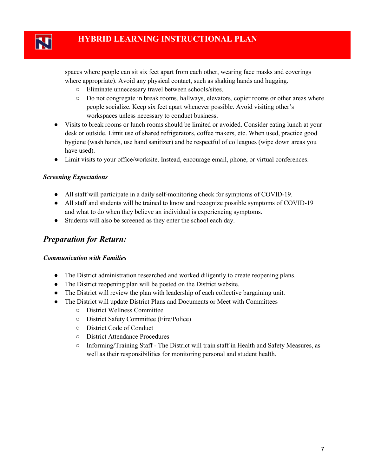spaces where people can sit six feet apart from each other, wearing face masks and coverings where appropriate). Avoid any physical contact, such as shaking hands and hugging.

- Eliminate unnecessary travel between schools/sites.
- Do not congregate in break rooms, hallways, elevators, copier rooms or other areas where people socialize. Keep six feet apart whenever possible. Avoid visiting other's workspaces unless necessary to conduct business.
- Visits to break rooms or lunch rooms should be limited or avoided. Consider eating lunch at your desk or outside. Limit use of shared refrigerators, coffee makers, etc. When used, practice good hygiene (wash hands, use hand sanitizer) and be respectful of colleagues (wipe down areas you have used).
- Limit visits to your office/worksite. Instead, encourage email, phone, or virtual conferences.

### *Screening Expectations*

- All staff will participate in a daily self-monitoring check for symptoms of COVID-19.
- All staff and students will be trained to know and recognize possible symptoms of COVID-19 and what to do when they believe an individual is experiencing symptoms.
- Students will also be screened as they enter the school each day.

### *Preparation for Return:*

### *Communication with Families*

- The District administration researched and worked diligently to create reopening plans.
- The District reopening plan will be posted on the District website.
- The District will review the plan with leadership of each collective bargaining unit.
- The District will update District Plans and Documents or Meet with Committees
	- District Wellness Committee
	- District Safety Committee (Fire/Police)
	- District Code of Conduct
	- District Attendance Procedures
	- Informing/Training Staff The District will train staff in Health and Safety Measures, as well as their responsibilities for monitoring personal and student health.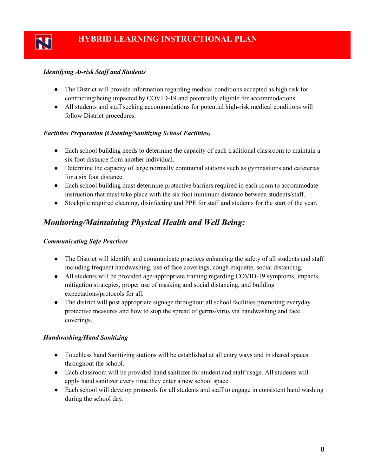### *Identifying At-risk Staff and Students*

- The District will provide information regarding medical conditions accepted as high risk for contracting/being impacted by COVID-19 and potentially eligible for accommodations.
- All students and staff seeking accommodations for potential high-risk medical conditions will follow District procedures.

### *Facilities Preparation (Cleaning/Sanitizing School Facilities)*

- Each school building needs to determine the capacity of each traditional classroom to maintain a six foot distance from another individual.
- Determine the capacity of large normally communal stations such as gymnasiums and cafeterias for a six foot distance.
- Each school building must determine protective barriers required in each room to accommodate instruction that must take place with the six foot minimum distance between students/staff.
- Stockpile required cleaning, disinfecting and PPE for staff and students for the start of the year.

### *Monitoring/Maintaining Physical Health and Well Being:*

#### *Communicating Safe Practices*

- The District will identify and communicate practices enhancing the safety of all students and staff including frequent handwashing, use of face coverings, cough etiquette, social distancing.
- All students will be provided age-appropriate training regarding COVID-19 symptoms, impacts, mitigation strategies, proper use of masking and social distancing, and building expectations/protocols for all.
- The district will post appropriate signage throughout all school facilities promoting everyday protective measures and how to stop the spread of germs/virus via handwashing and face coverings.

### *Handwashing/Hand Sanitizing*

- Touchless hand Sanitizing stations will be established at all entry ways and in shared spaces throughout the school.
- Each classroom will be provided hand sanitizer for student and staff usage. All students will apply hand sanitizer every time they enter a new school space.
- Each school will develop protocols for all students and staff to engage in consistent hand washing during the school day.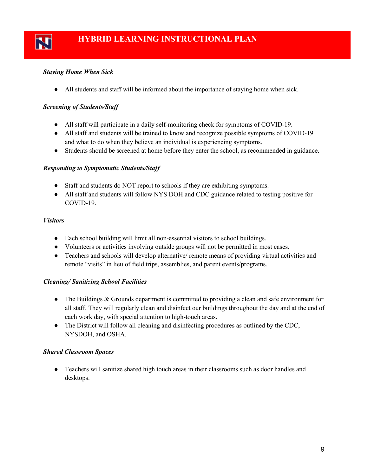### *Staying Home When Sick*

● All students and staff will be informed about the importance of staying home when sick.

### *Screening of Students/Staff*

- All staff will participate in a daily self-monitoring check for symptoms of COVID-19.
- All staff and students will be trained to know and recognize possible symptoms of COVID-19 and what to do when they believe an individual is experiencing symptoms.
- Students should be screened at home before they enter the school, as recommended in guidance.

### *Responding to Symptomatic Students/Staff*

- Staff and students do NOT report to schools if they are exhibiting symptoms.
- All staff and students will follow NYS DOH and CDC guidance related to testing positive for COVID-19.

### *Visitors*

- Each school building will limit all non-essential visitors to school buildings.
- Volunteers or activities involving outside groups will not be permitted in most cases.
- Teachers and schools will develop alternative/ remote means of providing virtual activities and remote "visits" in lieu of field trips, assemblies, and parent events/programs.

### *Cleaning/ Sanitizing School Facilities*

- The Buildings & Grounds department is committed to providing a clean and safe environment for all staff. They will regularly clean and disinfect our buildings throughout the day and at the end of each work day, with special attention to high-touch areas.
- The District will follow all cleaning and disinfecting procedures as outlined by the CDC, NYSDOH, and OSHA.

### *Shared Classroom Spaces*

● Teachers will sanitize shared high touch areas in their classrooms such as door handles and desktops.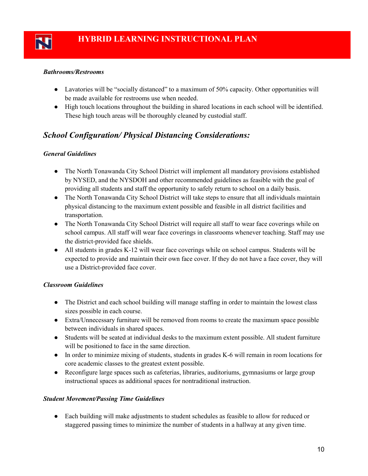### *Bathrooms/Restrooms*

- Lavatories will be "socially distanced" to a maximum of 50% capacity. Other opportunities will be made available for restrooms use when needed.
- High touch locations throughout the building in shared locations in each school will be identified. These high touch areas will be thoroughly cleaned by custodial staff.

### *School Configuration/ Physical Distancing Considerations:*

### *General Guidelines*

- The North Tonawanda City School District will implement all mandatory provisions established by NYSED, and the NYSDOH and other recommended guidelines as feasible with the goal of providing all students and staff the opportunity to safely return to school on a daily basis.
- The North Tonawanda City School District will take steps to ensure that all individuals maintain physical distancing to the maximum extent possible and feasible in all district facilities and transportation.
- The North Tonawanda City School District will require all staff to wear face coverings while on school campus. All staff will wear face coverings in classrooms whenever teaching. Staff may use the district-provided face shields.
- All students in grades K-12 will wear face coverings while on school campus. Students will be expected to provide and maintain their own face cover. If they do not have a face cover, they will use a District-provided face cover.

### *Classroom Guidelines*

- The District and each school building will manage staffing in order to maintain the lowest class sizes possible in each course.
- Extra/Unnecessary furniture will be removed from rooms to create the maximum space possible between individuals in shared spaces.
- Students will be seated at individual desks to the maximum extent possible. All student furniture will be positioned to face in the same direction.
- In order to minimize mixing of students, students in grades K-6 will remain in room locations for core academic classes to the greatest extent possible.
- Reconfigure large spaces such as cafeterias, libraries, auditoriums, gymnasiums or large group instructional spaces as additional spaces for nontraditional instruction.

### *Student Movement/Passing Time Guidelines*

● Each building will make adjustments to student schedules as feasible to allow for reduced or staggered passing times to minimize the number of students in a hallway at any given time.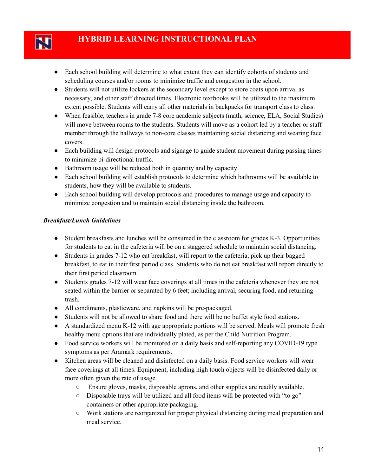- Each school building will determine to what extent they can identify cohorts of students and scheduling courses and/or rooms to minimize traffic and congestion in the school.
- Students will not utilize lockers at the secondary level except to store coats upon arrival as necessary, and other staff directed times. Electronic textbooks will be utilized to the maximum extent possible. Students will carry all other materials in backpacks for transport class to class.
- When feasible, teachers in grade 7-8 core academic subjects (math, science, ELA, Social Studies) will move between rooms to the students. Students will move as a cohort led by a teacher or staff member through the hallways to non-core classes maintaining social distancing and wearing face covers.
- Each building will design protocols and signage to guide student movement during passing times to minimize bi-directional traffic.
- Bathroom usage will be reduced both in quantity and by capacity.
- Each school building will establish protocols to determine which bathrooms will be available to students, how they will be available to students.
- Each school building will develop protocols and procedures to manage usage and capacity to minimize congestion and to maintain social distancing inside the bathroom.

### *Breakfast/Lunch Guidelines*

- Student breakfasts and lunches will be consumed in the classroom for grades K-3. Opportunities for students to eat in the cafeteria will be on a staggered schedule to maintain social distancing.
- Students in grades 7-12 who eat breakfast, will report to the cafeteria, pick up their bagged breakfast, to eat in their first period class. Students who do not eat breakfast will report directly to their first period classroom.
- Students grades 7-12 will wear face coverings at all times in the cafeteria whenever they are not seated within the barrier or separated by 6 feet; including arrival, securing food, and returning trash.
- All condiments, plasticware, and napkins will be pre-packaged.
- Students will not be allowed to share food and there will be no buffet style food stations.
- A standardized menu K-12 with age appropriate portions will be served. Meals will promote fresh healthy menu options that are individually plated, as per the Child Nutrition Program.
- Food service workers will be monitored on a daily basis and self-reporting any COVID-19 type symptoms as per Aramark requirements.
- Kitchen areas will be cleaned and disinfected on a daily basis. Food service workers will wear face coverings at all times. Equipment, including high touch objects will be disinfected daily or more often given the rate of usage.
	- Ensure gloves, masks, disposable aprons, and other supplies are readily available.
	- Disposable trays will be utilized and all food items will be protected with "to go" containers or other appropriate packaging.
	- Work stations are reorganized for proper physical distancing during meal preparation and meal service.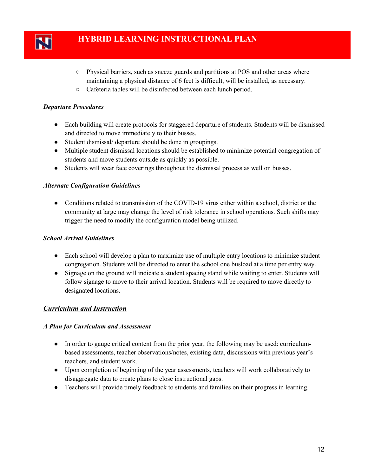

- Physical barriers, such as sneeze guards and partitions at POS and other areas where maintaining a physical distance of 6 feet is difficult, will be installed, as necessary.
- Cafeteria tables will be disinfected between each lunch period.

### *Departure Procedures*

- Each building will create protocols for staggered departure of students. Students will be dismissed and directed to move immediately to their busses.
- Student dismissal/ departure should be done in groupings.
- Multiple student dismissal locations should be established to minimize potential congregation of students and move students outside as quickly as possible.
- Students will wear face coverings throughout the dismissal process as well on busses.

### *Alternate Configuration Guidelines*

● Conditions related to transmission of the COVID-19 virus either within a school, district or the community at large may change the level of risk tolerance in school operations. Such shifts may trigger the need to modify the configuration model being utilized.

### *School Arrival Guidelines*

- Each school will develop a plan to maximize use of multiple entry locations to minimize student congregation. Students will be directed to enter the school one busload at a time per entry way.
- Signage on the ground will indicate a student spacing stand while waiting to enter. Students will follow signage to move to their arrival location. Students will be required to move directly to designated locations.

### *Curriculum and Instruction*

#### *A Plan for Curriculum and Assessment*

- In order to gauge critical content from the prior year, the following may be used: curriculumbased assessments, teacher observations/notes, existing data, discussions with previous year's teachers, and student work.
- Upon completion of beginning of the year assessments, teachers will work collaboratively to disaggregate data to create plans to close instructional gaps.
- Teachers will provide timely feedback to students and families on their progress in learning.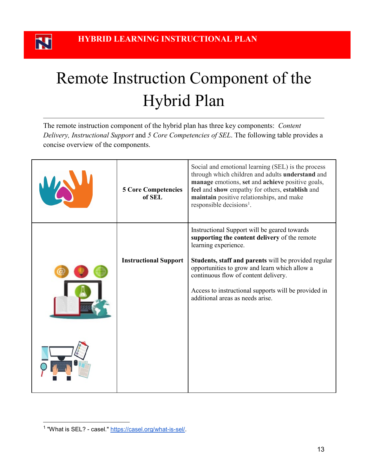N

## Remote Instruction Component of the Hybrid Plan

The remote instruction component of the hybrid plan has three key components: *Content Delivery, Instructional Support* and *5 Core Competencies of SEL*. The following table provides a concise overview of the components.

| <b>5 Core Competencies</b><br>of SEL | Social and emotional learning (SEL) is the process<br>through which children and adults understand and<br>manage emotions, set and achieve positive goals,<br>feel and show empathy for others, establish and<br>maintain positive relationships, and make<br>responsible decisions <sup>1</sup> .                                                                 |
|--------------------------------------|--------------------------------------------------------------------------------------------------------------------------------------------------------------------------------------------------------------------------------------------------------------------------------------------------------------------------------------------------------------------|
| <b>Instructional Support</b>         | Instructional Support will be geared towards<br>supporting the content delivery of the remote<br>learning experience.<br>Students, staff and parents will be provided regular<br>opportunities to grow and learn which allow a<br>continuous flow of content delivery.<br>Access to instructional supports will be provided in<br>additional areas as needs arise. |

<span id="page-12-0"></span><sup>&</sup>lt;sup>1</sup> "What is SEL? - casel." [https://casel.org/what-is-sel/.](https://casel.org/what-is-sel/)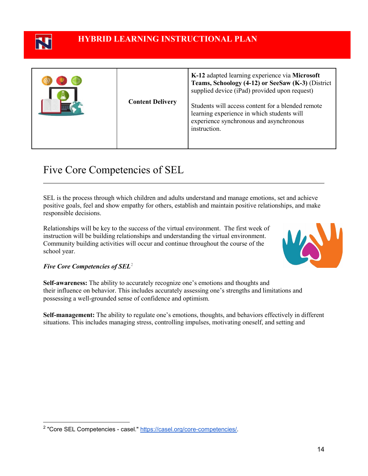

### **HYBRID LEARNING INSTRUCTIONAL PLAN**

| <b>Content Delivery</b> | K-12 adapted learning experience via Microsoft<br>Teams, Schoology (4-12) or SeeSaw (K-3) (District<br>supplied device (iPad) provided upon request)       |
|-------------------------|------------------------------------------------------------------------------------------------------------------------------------------------------------|
|                         | Students will access content for a blended remote<br>learning experience in which students will<br>experience synchronous and asynchronous<br>instruction. |

### Five Core Competencies of SEL

SEL is the process through which children and adults understand and manage emotions, set and achieve positive goals, feel and show empathy for others, establish and maintain positive relationships, and make responsible decisions.

Relationships will be key to the success of the virtual environment. The first week of instruction will be building relationships and understanding the virtual environment. Community building activities will occur and continue throughout the course of the school year.



#### *Five Core Competencies of SEL*[2](#page-13-0)

**Self-awareness:** The ability to accurately recognize one's emotions and thoughts and their influence on behavior. This includes accurately assessing one's strengths and limitations and possessing a well-grounded sense of confidence and optimism.

**Self-management:** The ability to regulate one's emotions, thoughts, and behaviors effectively in different situations. This includes managing stress, controlling impulses, motivating oneself, and setting and

<span id="page-13-0"></span><sup>&</sup>lt;sup>2</sup> "Core SEL Competencies - casel." [https://casel.org/core-competencies/.](https://casel.org/core-competencies/)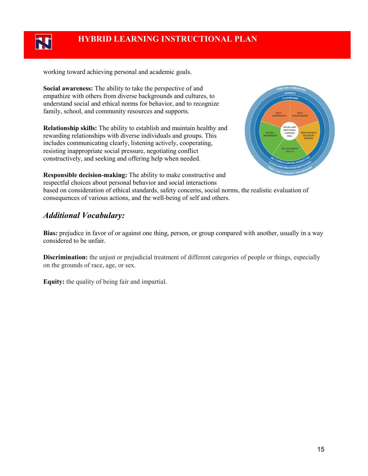

working toward achieving personal and academic goals.

**Social awareness:** The ability to take the perspective of and empathize with others from diverse backgrounds and cultures, to understand social and ethical norms for behavior, and to recognize family, school, and community resources and supports.

**Relationship skills:** The ability to establish and maintain healthy and rewarding relationships with diverse individuals and groups. This includes communicating clearly, listening actively, cooperating, resisting inappropriate social pressure, negotiating conflict constructively, and seeking and offering help when needed.



**Responsible decision-making:** The ability to make constructive and respectful choices about personal behavior and social interactions

based on consideration of ethical standards, safety concerns, social norms, the realistic evaluation of consequences of various actions, and the well-being of self and others.

### *Additional Vocabulary:*

**Bias***:* prejudice in favor of or against one thing, person, or group compared with another, usually in a way considered to be unfair.

**Discrimination:** the unjust or prejudicial treatment of different categories of people or things, especially on the grounds of race, age, or sex.

**Equity:** the quality of being fair and impartial.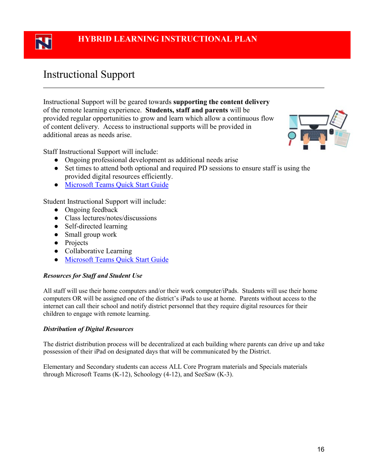### Instructional Support

Instructional Support will be geared towards **supporting the content delivery** of the remote learning experience. **Students, staff and parents** will be provided regular opportunities to grow and learn which allow a continuous flow of content delivery. Access to instructional supports will be provided in additional areas as needs arise.



Staff Instructional Support will include:

- Ongoing professional development as additional needs arise
- Set times to attend both optional and required PD sessions to ensure staff is using the provided digital resources efficiently.
- Microsoft Teams Quick Start Guide

Student Instructional Support will include:

- Ongoing feedback
- Class lectures/notes/discussions
- Self-directed learning
- Small group work
- Projects
- Collaborative Learning
- Microsoft Teams Quick Start Guide

### *Resources for Staff and Student Use*

All staff will use their home computers and/or their work computer/iPads. Students will use their home computers OR will be assigned one of the district's iPads to use at home. Parents without access to the internet can call their school and notify district personnel that they require digital resources for their children to engage with remote learning.

### *Distribution of Digital Resources*

The district distribution process will be decentralized at each building where parents can drive up and take possession of their iPad on designated days that will be communicated by the District.

Elementary and Secondary students can access ALL Core Program materials and Specials materials through Microsoft Teams (K-12), Schoology (4-12), and SeeSaw (K-3).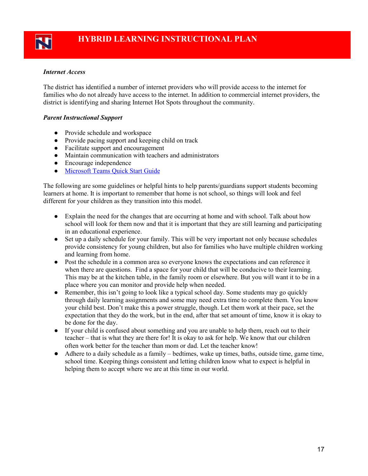### *Internet Access*

The district has identified a number of internet providers who will provide access to the internet for families who do not already have access to the internet. In addition to commercial internet providers, the district is identifying and sharing Internet Hot Spots throughout the community.

### *Parent Instructional Support*

- Provide schedule and workspace
- Provide pacing support and keeping child on track
- Facilitate support and encouragement
- Maintain communication with teachers and administrators
- Encourage independence
- Microsoft Teams Quick Start Guide

The following are some guidelines or helpful hints to help parents/guardians support students becoming learners at home. It is important to remember that home is not school, so things will look and feel different for your children as they transition into this model.

- Explain the need for the changes that are occurring at home and with school. Talk about how school will look for them now and that it is important that they are still learning and participating in an educational experience.
- Set up a daily schedule for your family. This will be very important not only because schedules provide consistency for young children, but also for families who have multiple children working and learning from home.
- Post the schedule in a common area so everyone knows the expectations and can reference it when there are questions. Find a space for your child that will be conducive to their learning. This may be at the kitchen table, in the family room or elsewhere. But you will want it to be in a place where you can monitor and provide help when needed.
- Remember, this isn't going to look like a typical school day. Some students may go quickly through daily learning assignments and some may need extra time to complete them. You know your child best. Don't make this a power struggle, though. Let them work at their pace, set the expectation that they do the work, but in the end, after that set amount of time, know it is okay to be done for the day.
- If your child is confused about something and you are unable to help them, reach out to their teacher – that is what they are there for! It is okay to ask for help. We know that our children often work better for the teacher than mom or dad. Let the teacher know!
- Adhere to a daily schedule as a family bedtimes, wake up times, baths, outside time, game time, school time. Keeping things consistent and letting children know what to expect is helpful in helping them to accept where we are at this time in our world.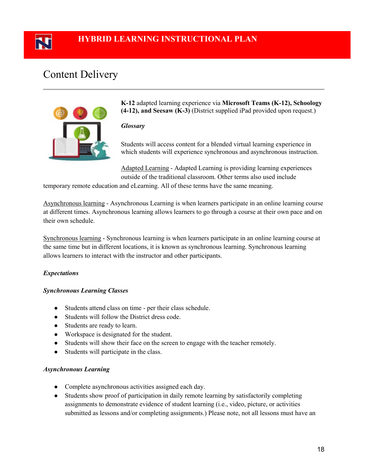### **HYBRID LEARNING INSTRUCTIONAL PLAN**

### Content Delivery



**K-12** adapted learning experience via **Microsoft Teams (K-12), Schoology (4-12), and Seesaw (K-3)** (District supplied iPad provided upon request.)

#### *Glossary*

Students will access content for a blended virtual learning experience in which students will experience synchronous and asynchronous instruction.

Adapted Learning - Adapted Learning is providing learning experiences outside of the traditional classroom. Other terms also used include

temporary remote education and eLearning. All of these terms have the same meaning.

Asynchronous learning - Asynchronous Learning is when learners participate in an online learning course at different times. Asynchronous learning allows learners to go through a course at their own pace and on their own schedule.

Synchronous learning - Synchronous learning is when learners participate in an online learning course at the same time but in different locations, it is known as synchronous learning. Synchronous learning allows learners to interact with the instructor and other participants.

### *Expectations*

#### *Synchronous Learning Classes*

- Students attend class on time per their class schedule.
- Students will follow the District dress code.
- Students are ready to learn.
- Workspace is designated for the student.
- Students will show their face on the screen to engage with the teacher remotely.
- Students will participate in the class.

#### *Asynchronous Learning*

- Complete asynchronous activities assigned each day.
- Students show proof of participation in daily remote learning by satisfactorily completing assignments to demonstrate evidence of student learning (i.e., video, picture, or activities submitted as lessons and/or completing assignments.) Please note, not all lessons must have an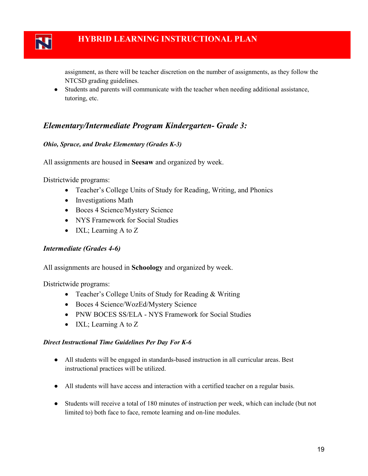

### **HYBRID LEARNING INSTRUCTIONAL PLAN**

assignment, as there will be teacher discretion on the number of assignments, as they follow the NTCSD grading guidelines.

● Students and parents will communicate with the teacher when needing additional assistance, tutoring, etc.

### *Elementary/Intermediate Program Kindergarten- Grade 3:*

### *Ohio, Spruce, and Drake Elementary (Grades K-3)*

All assignments are housed in **Seesaw** and organized by week.

Districtwide programs:

- Teacher's College Units of Study for Reading, Writing, and Phonics
- Investigations Math
- Boces 4 Science/Mystery Science
- NYS Framework for Social Studies
- IXL; Learning A to Z

### *Intermediate (Grades 4-6)*

All assignments are housed in **Schoology** and organized by week.

Districtwide programs:

- Teacher's College Units of Study for Reading & Writing
- Boces 4 Science/WozEd/Mystery Science
- PNW BOCES SS/ELA NYS Framework for Social Studies
- IXL; Learning A to Z

### *Direct Instructional Time Guidelines Per Day For K-6*

- All students will be engaged in standards-based instruction in all curricular areas. Best instructional practices will be utilized.
- All students will have access and interaction with a certified teacher on a regular basis.
- Students will receive a total of 180 minutes of instruction per week, which can include (but not limited to) both face to face, remote learning and on-line modules.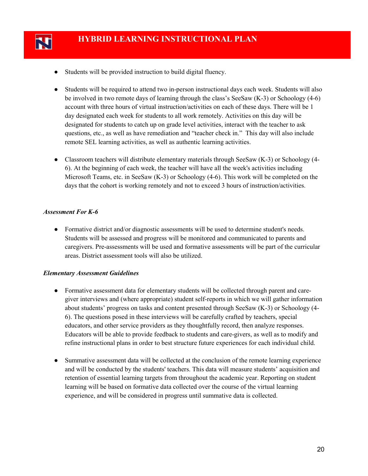

- Students will be provided instruction to build digital fluency.
- Students will be required to attend two in-person instructional days each week. Students will also be involved in two remote days of learning through the class's SeeSaw (K-3) or Schoology (4-6) account with three hours of virtual instruction/activities on each of these days. There will be 1 day designated each week for students to all work remotely. Activities on this day will be designated for students to catch up on grade level activities, interact with the teacher to ask questions, etc., as well as have remediation and "teacher check in." This day will also include remote SEL learning activities, as well as authentic learning activities.
- Classroom teachers will distribute elementary materials through SeeSaw (K-3) or Schoology (4-6). At the beginning of each week, the teacher will have all the week's activities including Microsoft Teams, etc. in SeeSaw (K-3) or Schoology (4-6). This work will be completed on the days that the cohort is working remotely and not to exceed 3 hours of instruction/activities.

#### *Assessment For K-6*

● Formative district and/or diagnostic assessments will be used to determine student's needs. Students will be assessed and progress will be monitored and communicated to parents and caregivers. Pre-assessments will be used and formative assessments will be part of the curricular areas. District assessment tools will also be utilized.

### *Elementary Assessment Guidelines*

- Formative assessment data for elementary students will be collected through parent and caregiver interviews and (where appropriate) student self-reports in which we will gather information about students' progress on tasks and content presented through SeeSaw (K-3) or Schoology (4- 6). The questions posed in these interviews will be carefully crafted by teachers, special educators, and other service providers as they thoughtfully record, then analyze responses. Educators will be able to provide feedback to students and care-givers, as well as to modify and refine instructional plans in order to best structure future experiences for each individual child.
- Summative assessment data will be collected at the conclusion of the remote learning experience and will be conducted by the students' teachers. This data will measure students' acquisition and retention of essential learning targets from throughout the academic year. Reporting on student learning will be based on formative data collected over the course of the virtual learning experience, and will be considered in progress until summative data is collected.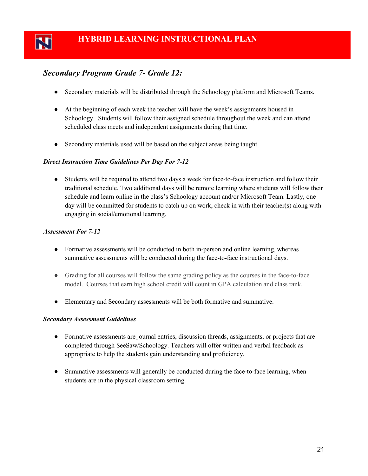### *Secondary Program Grade 7- Grade 12:*

- Secondary materials will be distributed through the Schoology platform and Microsoft Teams.
- At the beginning of each week the teacher will have the week's assignments housed in Schoology. Students will follow their assigned schedule throughout the week and can attend scheduled class meets and independent assignments during that time.
- Secondary materials used will be based on the subject areas being taught.

### *Direct Instruction Time Guidelines Per Day For 7-12*

• Students will be required to attend two days a week for face-to-face instruction and follow their traditional schedule. Two additional days will be remote learning where students will follow their schedule and learn online in the class's Schoology account and/or Microsoft Team. Lastly, one day will be committed for students to catch up on work, check in with their teacher(s) along with engaging in social/emotional learning.

### *Assessment For 7-12*

- Formative assessments will be conducted in both in-person and online learning, whereas summative assessments will be conducted during the face-to-face instructional days.
- Grading for all courses will follow the same grading policy as the courses in the face-to-face model. Courses that earn high school credit will count in GPA calculation and class rank.
- Elementary and Secondary assessments will be both formative and summative.

#### *Secondary Assessment Guidelines*

- Formative assessments are journal entries, discussion threads, assignments, or projects that are completed through SeeSaw/Schoology. Teachers will offer written and verbal feedback as appropriate to help the students gain understanding and proficiency.
- Summative assessments will generally be conducted during the face-to-face learning, when students are in the physical classroom setting.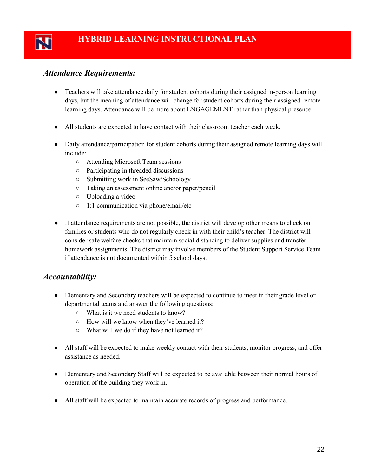### *Attendance Requirements:*

- Teachers will take attendance daily for student cohorts during their assigned in-person learning days, but the meaning of attendance will change for student cohorts during their assigned remote learning days. Attendance will be more about ENGAGEMENT rather than physical presence.
- All students are expected to have contact with their classroom teacher each week.
- Daily attendance/participation for student cohorts during their assigned remote learning days will include:
	- Attending Microsoft Team sessions
	- Participating in threaded discussions
	- Submitting work in SeeSaw/Schoology
	- Taking an assessment online and/or paper/pencil
	- Uploading a video
	- 1:1 communication via phone/email/etc
- If attendance requirements are not possible, the district will develop other means to check on families or students who do not regularly check in with their child's teacher. The district will consider safe welfare checks that maintain social distancing to deliver supplies and transfer homework assignments. The district may involve members of the Student Support Service Team if attendance is not documented within 5 school days.

### *Accountability:*

- Elementary and Secondary teachers will be expected to continue to meet in their grade level or departmental teams and answer the following questions:
	- What is it we need students to know?
	- How will we know when they've learned it?
	- What will we do if they have not learned it?
- All staff will be expected to make weekly contact with their students, monitor progress, and offer assistance as needed.
- Elementary and Secondary Staff will be expected to be available between their normal hours of operation of the building they work in.
- All staff will be expected to maintain accurate records of progress and performance.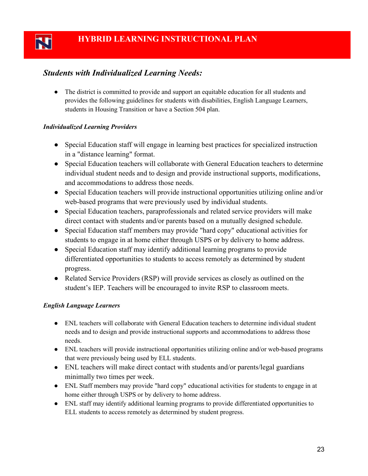### *Students with Individualized Learning Needs:*

• The district is committed to provide and support an equitable education for all students and provides the following guidelines for students with disabilities, English Language Learners, students in Housing Transition or have a Section 504 plan.

### *Individualized Learning Providers*

N

- Special Education staff will engage in learning best practices for specialized instruction in a "distance learning" format.
- Special Education teachers will collaborate with General Education teachers to determine individual student needs and to design and provide instructional supports, modifications, and accommodations to address those needs.
- Special Education teachers will provide instructional opportunities utilizing online and/or web-based programs that were previously used by individual students.
- Special Education teachers, paraprofessionals and related service providers will make direct contact with students and/or parents based on a mutually designed schedule.
- Special Education staff members may provide "hard copy" educational activities for students to engage in at home either through USPS or by delivery to home address.
- Special Education staff may identify additional learning programs to provide differentiated opportunities to students to access remotely as determined by student progress.
- Related Service Providers (RSP) will provide services as closely as outlined on the student's IEP. Teachers will be encouraged to invite RSP to classroom meets.

### *English Language Learners*

- ENL teachers will collaborate with General Education teachers to determine individual student needs and to design and provide instructional supports and accommodations to address those needs.
- ENL teachers will provide instructional opportunities utilizing online and/or web-based programs that were previously being used by ELL students.
- ENL teachers will make direct contact with students and/or parents/legal guardians minimally two times per week.
- ENL Staff members may provide "hard copy" educational activities for students to engage in at home either through USPS or by delivery to home address.
- ENL staff may identify additional learning programs to provide differentiated opportunities to ELL students to access remotely as determined by student progress.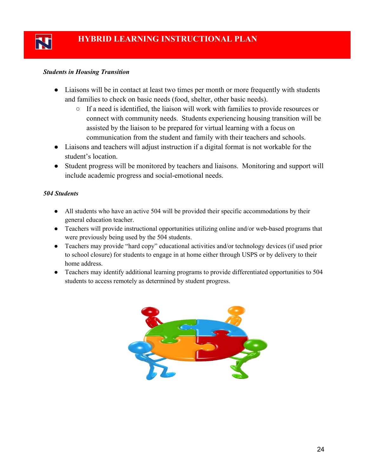### *Students in Housing Transition*

- Liaisons will be in contact at least two times per month or more frequently with students and families to check on basic needs (food, shelter, other basic needs).
	- If a need is identified, the liaison will work with families to provide resources or connect with community needs. Students experiencing housing transition will be assisted by the liaison to be prepared for virtual learning with a focus on communication from the student and family with their teachers and schools.
- Liaisons and teachers will adjust instruction if a digital format is not workable for the student's location.
- Student progress will be monitored by teachers and liaisons. Monitoring and support will include academic progress and social-emotional needs.

### *504 Students*

- All students who have an active 504 will be provided their specific accommodations by their general education teacher.
- Teachers will provide instructional opportunities utilizing online and/or web-based programs that were previously being used by the 504 students.
- Teachers may provide "hard copy" educational activities and/or technology devices (if used prior to school closure) for students to engage in at home either through USPS or by delivery to their home address.
- Teachers may identify additional learning programs to provide differentiated opportunities to 504 students to access remotely as determined by student progress.

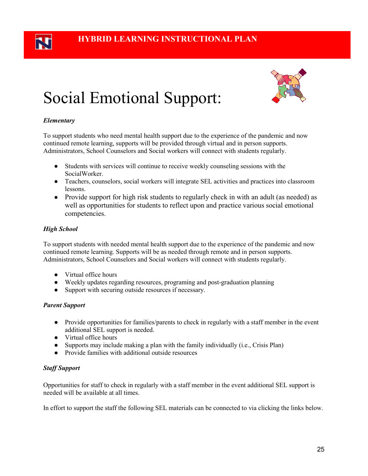## Social Emotional Support:



### *Elementary*

To support students who need mental health support due to the experience of the pandemic and now continued remote learning, supports will be provided through virtual and in person supports. Administrators, School Counselors and Social workers will connect with students regularly.

- Students with services will continue to receive weekly counseling sessions with the SocialWorker.
- Teachers, counselors, social workers will integrate SEL activities and practices into classroom lessons.
- Provide support for high risk students to regularly check in with an adult (as needed) as well as opportunities for students to reflect upon and practice various social emotional competencies.

### *High School*

To support students with needed mental health support due to the experience of the pandemic and now continued remote learning. Supports will be as needed through remote and in person supports. Administrators, School Counselors and Social workers will connect with students regularly.

- Virtual office hours
- Weekly updates regarding resources, programing and post-graduation planning
- Support with securing outside resources if necessary.

### *Parent Support*

- Provide opportunities for families/parents to check in regularly with a staff member in the event additional SEL support is needed.
- Virtual office hours
- $\bullet$  Supports may include making a plan with the family individually (i.e., Crisis Plan)
- Provide families with additional outside resources

### *Staff Support*

Opportunities for staff to check in regularly with a staff member in the event additional SEL support is needed will be available at all times.

In effort to support the staff the following SEL materials can be connected to via clicking the links below.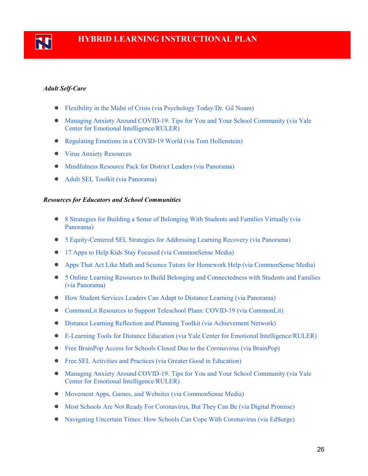

### *Adult Self-Care*

- [Flexibility in the Midst of Crisis \(via Psychology Today/Dr. Gil Noam\)](https://www.psychologytoday.com/us/blog/the-inner-life-students/202003/flexibility-in-the-midst-crisis)
- [Managing Anxiety Around COVID-19: Tips for You and Your School Community \(via Yale](https://www.rulerapproach.org/managing-anxiety-around-covid-19/)  [Center for Emotional Intelligence/RULER\)](https://www.rulerapproach.org/managing-anxiety-around-covid-19/)
- [Regulating Emotions in a COVID-19 World \(via Tom Hollenstein\)](https://medium.com/@Tom.Hollenstein/regulating-emotions-in-a-covid-19-world-f3ef394f8294)
- [Virus Anxiety Resources](https://www.virusanxiety.com/take-care)
- [Mindfulness Resource Pack for District Leaders \(via Panorama\)](https://go.panoramaed.com/mindfulness-resource-pack)
- [Adult SEL Toolkit \(via Panorama\)](https://go.panoramaed.com/adult-sel-social-emotional-learning-toolkit)

#### *Resources for Educators and School Communities*

- [8 Strategies for Building a Sense of Belonging With Students and Families Virtually \(via](https://www.panoramaed.com/blog/8-strategies-sense-of-belonging-virtually)  [Panorama\)](https://www.panoramaed.com/blog/8-strategies-sense-of-belonging-virtually)
- [5 Equity-Centered SEL Strategies for Addressing Learning Recovery \(via Panorama\)](https://go.panoramaed.com/learning-recovery-sel-toolkit?utm_campaign=blog-top-cta&utm_content=learning%25loss)
- [17 Apps to Help Kids Stay Focused \(via CommonSense Media\)](https://www.commonsensemedia.org/lists/13-apps-to-help-kids-stay-focused?j=7698356&sfmc_sub=179466459&l=2048712_HTML&u=143332598&mid=6409703&jb=2163&utm_source=covid19_resources_jim&utm_medium=email)
- [Apps That Act Like Math and Science Tutors for Homework Help \(via CommonSense Media\)](https://www.commonsensemedia.org/lists/apps-that-act-like-math-and-science-tutors-for-homework-help?j=7698356&sfmc_sub=179466459&l=2048712_HTML&u=143332599&mid=6409703&jb=2163&utm_source=covid19_resources_jim&utm_medium=email)
- [5 Online Learning Resources to Build Belonging and Connectedness with Students and Families](https://go.panoramaed.com/5-virtual-learning-resources)  [\(via Panorama\)](https://go.panoramaed.com/5-virtual-learning-resources)
- [How Student Services Leaders Can Adapt to Distance Learning \(via Panorama\)](https://www.panoramaed.com/blog/student-services-adapt-to-distance-learning)
- CommonLit [Resources to Support Teleschool Plans: COVID-19 \(via CommonLit\)](https://blog.commonlit.org/free-resources-to-support-teleschool-plans-covid-19-5b3955333e05)
- [Distance Learning Reflection and Planning Toolkit \(via Achievement Network\)](http://go.achievementnetwork.org/rs/731-WJI-089/images/Distance%20Learning%20Reflection%20and%20Planning%20Toolkit%20for%20Partners%20.pdf)
- [E-Learning Tools for Distance Education \(via Yale Center for](https://mcusercontent.com/00d9776bca68be705b511d0b5/files/4cdba6e8-fdb8-4f50-8791-043ae3c6d8d3/eLearning_Tools_Distance_Education.pdf) Emotional Intelligence/RULER)
- [Free BrainPop Access for Schools Closed Due to the Coronavirus \(via BrainPop\)](https://educators.brainpop.com/2020/02/19/free-brainpop-access-for-schools-affected-by-the-corona-virus/)
- [Free SEL Activities and Practices \(via Greater Good in Education\)](https://ggie.berkeley.edu/practices/)
- [Managing Anxiety Around COVID-19: Tips for You and Your School Community \(via Yale](https://www.rulerapproach.org/managing-anxiety-around-covid-19/)  [Center for Emotional Intelligence/RULER\)](https://www.rulerapproach.org/managing-anxiety-around-covid-19/)
- [Movement Apps, Games, and Websites \(via CommonSense Media\)](https://www.commonsensemedia.org/lists/movement-apps-games-and-websites?j=7698356&sfmc_sub=179466459&l=2048712_HTML&u=143332605&mid=6409703&jb=2163&utm_source=covid19_resources_jim&utm_medium=email)
- [Most Schools Are Not Ready For Coronavirus, But They Can Be \(via Digital Promise\)](https://digitalpromise.org/2020/03/11/most-schools-are-not-ready-for-coronavirus-but-they-can-be/)
- Navigating Uncertain Times: [How Schools Can Cope With Coronavirus \(via EdSurge\)](https://www.edsurge.com/research/guides/navigating-uncertain-times-how-schools-can-cope-with-coronavirus?utm_content=buffer436a5&utm_medium=social&utm_source=twitter.com&utm_campaign=EdSurgeBuffer)